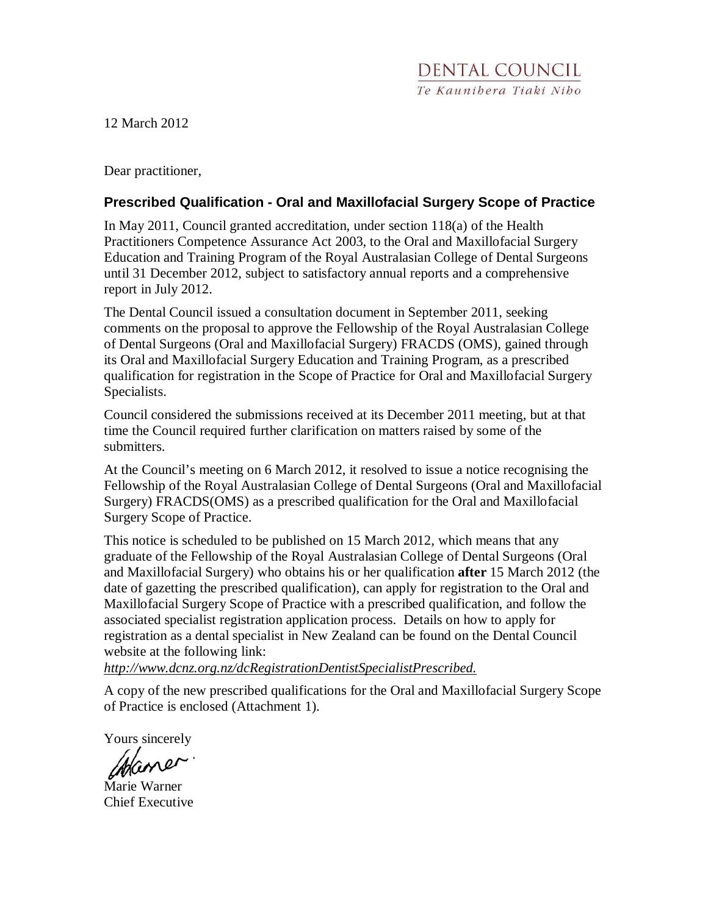12 March 2012

Dear practitioner,

## **Prescribed Qualification - Oral and Maxillofacial Surgery Scope of Practice**

In May 2011, Council granted accreditation, under section 118(a) of the Health Practitioners Competence Assurance Act 2003, to the Oral and Maxillofacial Surgery Education and Training Program of the Royal Australasian College of Dental Surgeons until 31 December 2012, subject to satisfactory annual reports and a comprehensive report in July 2012.

The Dental Council issued a consultation document in September 2011, seeking comments on the proposal to approve the Fellowship of the Royal Australasian College of Dental Surgeons (Oral and Maxillofacial Surgery) FRACDS (OMS), gained through its Oral and Maxillofacial Surgery Education and Training Program, as a prescribed qualification for registration in the Scope of Practice for Oral and Maxillofacial Surgery Specialists.

Council considered the submissions received at its December 2011 meeting, but at that time the Council required further clarification on matters raised by some of the submitters.

At the Council's meeting on 6 March 2012, it resolved to issue a notice recognising the Fellowship of the Royal Australasian College of Dental Surgeons (Oral and Maxillofacial Surgery) FRACDS(OMS) as a prescribed qualification for the Oral and Maxillofacial Surgery Scope of Practice.

This notice is scheduled to be published on 15 March 2012, which means that any graduate of the Fellowship of the Royal Australasian College of Dental Surgeons (Oral and Maxillofacial Surgery) who obtains his or her qualification **after** 15 March 2012 (the date of gazetting the prescribed qualification), can apply for registration to the Oral and Maxillofacial Surgery Scope of Practice with a prescribed qualification, and follow the associated specialist registration application process. Details on how to apply for registration as a dental specialist in New Zealand can be found on the Dental Council website at the following link:

*http://www.dcnz.org.nz/dcRegistrationDentistSpecialistPrescribed.*

A copy of the new prescribed qualifications for the Oral and Maxillofacial Surgery Scope of Practice is enclosed (Attachment 1).

Yours sincerely

Mame

Marie Warner Chief Executive